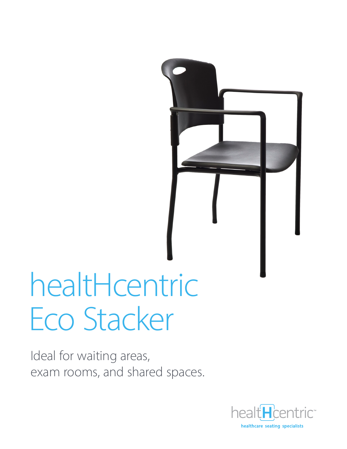

# healtHcentric Eco Stacker

Ideal for waiting areas, exam rooms, and shared spaces.